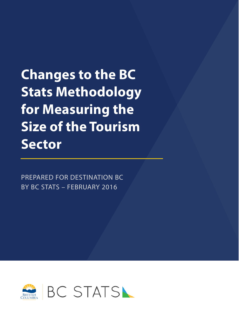**Changes to the BC Stats Methodology for Measuring the Size of the Tourism Sector**

PREPARED FOR DESTINATION BC BY BC STATS – FEBRUARY 2016

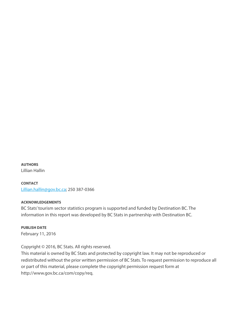**AUTHORS** Lillian Hallin

**CONTACT** [Lillian.hallin@gov.bc.ca;](mailto:Lillian.hallin@gov.bc.ca) 250 387-0366

#### **ACKNOWLEDGEMENTS**

BC Stats' tourism sector statistics program is supported and funded by Destination BC. The information in this report was developed by BC Stats in partnership with Destination BC.

**PUBLISH DATE**  February 11, 2016

Copyright © 2016, BC Stats. All rights reserved.

This material is owned by BC Stats and protected by copyright law. It may not be reproduced or redistributed without the prior written permission of BC Stats. To request permission to reproduce all or part of this material, please complete the copyright permission request form at http://www.gov.bc.ca/com/copy/req.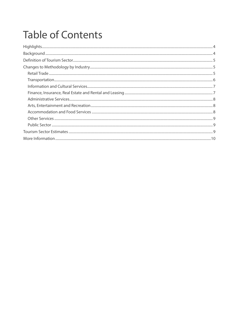## **Table of Contents**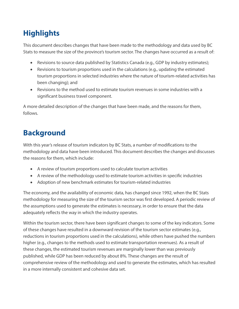## <span id="page-3-0"></span>**Highlights**

This document describes changes that have been made to the methodology and data used by BC Stats to measure the size of the province's tourism sector. The changes have occurred as a result of:

- Revisions to source data published by Statistics Canada (e.g., GDP by industry estimates);
- Revisions to tourism proportions used in the calculations (e.g., updating the estimated tourism proportions in selected industries where the nature of tourism-related activities has been changing); and
- Revisions to the method used to estimate tourism revenues in some industries with a significant business travel component.

A more detailed description of the changes that have been made, and the reasons for them, follows.

## <span id="page-3-1"></span>**Background**

With this year's release of tourism indicators by BC Stats, a number of modifications to the methodology and data have been introduced. This document describes the changes and discusses the reasons for them, which include:

- A review of tourism proportions used to calculate tourism activities
- A review of the methodology used to estimate tourism activities in specific industries
- Adoption of new benchmark estimates for tourism-related industries

The economy, and the availability of economic data, has changed since 1992, when the BC Stats methodology for measuring the size of the tourism sector was first developed. A periodic review of the assumptions used to generate the estimates is necessary, in order to ensure that the data adequately reflects the way in which the industry operates.

Within the tourism sector, there have been significant changes to some of the key indicators. Some of these changes have resulted in a downward revision of the tourism sector estimates (e.g., reductions in tourism proportions used in the calculations), while others have pushed the numbers higher (e.g., changes to the methods used to estimate transportation revenues). As a result of these changes, the estimated tourism revenues are marginally lower than was previously published, while GDP has been reduced by about 8%. These changes are the result of comprehensive review of the methodology and used to generate the estimates, which has resulted in a more internally consistent and cohesive data set.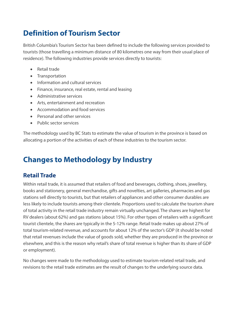## <span id="page-4-0"></span>**Definition of Tourism Sector**

British Columbia's Tourism Sector has been defined to include the following services provided to tourists (those travelling a minimum distance of 80 kilometres one way from their usual place of residence). The following industries provide services directly to tourists:

- Retail trade
- Transportation
- Information and cultural services
- Finance, insurance, real estate, rental and leasing
- Administrative services
- Arts, entertainment and recreation
- Accommodation and food services
- Personal and other services
- Public sector services

The methodology used by BC Stats to estimate the value of tourism in the province is based on allocating a portion of the activities of each of these industries to the tourism sector.

## <span id="page-4-1"></span>**Changes to Methodology by Industry**

#### <span id="page-4-2"></span>**Retail Trade**

Within retail trade, it is assumed that retailers of food and beverages, clothing, shoes, jewellery, books and stationery, general merchandise, gifts and novelties, art galleries, pharmacies and gas stations sell directly to tourists, but that retailers of appliances and other consumer durables are less likely to include tourists among their clientele. Proportions used to calculate the tourism share of total activity in the retail trade industry remain virtually unchanged. The shares are highest for RV dealers (about 62%) and gas stations (about 15%). For other types of retailers with a significant tourist clientele, the shares are typically in the 5-12% range. Retail trade makes up about 27% of total tourism-related revenue, and accounts for about 12% of the sector's GDP (it should be noted that retail revenues include the value of goods sold, whether they are produced in the province or elsewhere, and this is the reason why retail's share of total revenue is higher than its share of GDP or employment).

No changes were made to the methodology used to estimate tourism-related retail trade, and revisions to the retail trade estimates are the result of changes to the underlying source data.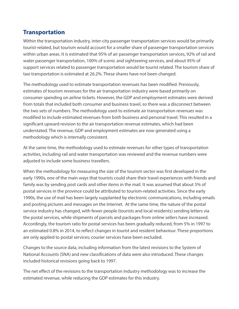#### <span id="page-5-0"></span>**Transportation**

Within the transportation industry, inter-city passenger transportation services would be primarily tourist-related, but tourism would account for a smaller share of passenger transportation services within urban areas. It is estimated that 95% of air passenger transportation services, 92% of rail and water passenger transportation, 100% of scenic and sightseeing services, and about 95% of support services related to passenger transportation would be tourist related. The tourism share of taxi transportation is estimated at 26.2%. These shares have not been changed.

The methodology used to estimate transportation revenues has been modified. Previously, estimates of tourism revenues for the air transportation industry were based primarily on consumer spending on airline tickets. However, the GDP and employment estimates were derived from totals that included both consumer and business travel, so there was a disconnect between the two sets of numbers. The methodology used to estimate air transportation revenues was modified to include estimated revenues from both business and personal travel. This resulted in a significant upward revision to the air transportation revenue estimates, which had been understated. The revenue, GDP and employment estimates are now generated using a methodology which is internally consistent.

At the same time, the methodology used to estimate revenues for other types of transportation activities, including rail and water transportation was reviewed and the revenue numbers were adjusted to include some business travellers.

When the methodology for measuring the size of the tourism sector was first developed in the early 1990s, one of the main ways that tourists could share their travel experiences with friends and family was by sending post cards and other items in the mail. It was assumed that about 5% of postal services in the province could be attributed to tourism-related activities. Since the early 1990s, the use of mail has been largely supplanted by electronic communications, including emails and posting pictures and messages on the Internet. At the same time, the nature of the postal service industry has changed, with fewer people (tourists and local residents) sending letters via the postal services, while shipments of parcels and packages from online sellers have increased. Accordingly, the tourism ratio for postal services has been gradually reduced, from 5% in 1997 to an estimated 0.8% in 2014, to reflect changes in tourist and resident behaviour. These proportions are only applied to postal services; courier services have been excluded.

Changes to the source data, including information from the latest revisions to the System of National Accounts (SNA) and new classifications of data were also introduced. These changes included historical revisions going back to 1997.

The net effect of the revisions to the transportation industry methodology was to increase the estimated revenue, while reducing the GDP estimates for this industry.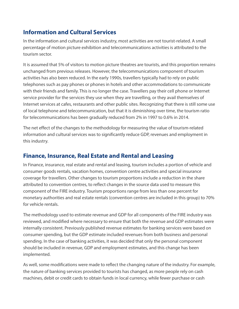#### <span id="page-6-0"></span>**Information and Cultural Services**

In the information and cultural services industry, most activities are not tourist-related. A small percentage of motion picture exhibition and telecommunications activities is attributed to the tourism sector.

It is assumed that 5% of visitors to motion picture theatres are tourists, and this proportion remains unchanged from previous releases. However, the telecommunications component of tourism activities has also been reduced. In the early 1990s, travellers typically had to rely on public telephones such as pay phones or phones in hotels and other accommodations to communicate with their friends and family. This is no longer the case. Travellers pay their cell phone or Internet service provider for the services they use when they are travelling, or they avail themselves of Internet services at cafes, restaurants and other public sites. Recognizing that there is still some use of local telephone and telecommunication, but that it is diminishing over time, the tourism ratio for telecommunications has been gradually reduced from 2% in 1997 to 0.6% in 2014.

The net effect of the changes to the methodology for measuring the value of tourism-related information and cultural services was to significantly reduce GDP, revenues and employment in this industry.

#### <span id="page-6-1"></span>**Finance, Insurance, Real Estate and Rental and Leasing**

In Finance, insurance, real estate and rental and leasing, tourism includes a portion of vehicle and consumer goods rentals, vacation homes, convention centre activities and special insurance coverage for travellers. Other changes to tourism proportions include a reduction in the share attributed to convention centres, to reflect changes in the source data used to measure this component of the FIRE industry. Tourism proportions range from less than one percent for monetary authorities and real estate rentals (convention centres are included in this group) to 70% for vehicle rentals.

The methodology used to estimate revenue and GDP for all components of the FIRE industry was reviewed, and modified where necessary to ensure that both the revenue and GDP estimates were internally consistent. Previously published revenue estimates for banking services were based on consumer spending, but the GDP estimate included revenues from both business and personal spending. In the case of banking activities, it was decided that only the personal component should be included in revenue, GDP and employment estimates, and this change has been implemented.

As well, some modifications were made to reflect the changing nature of the industry. For example, the nature of banking services provided to tourists has changed, as more people rely on cash machines, debit or credit cards to obtain funds in local currency, while fewer purchase or cash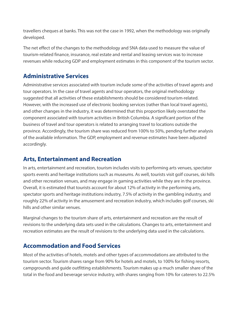travellers cheques at banks. This was not the case in 1992, when the methodology was originally developed.

The net effect of the changes to the methodology and SNA data used to measure the value of tourism-related finance, insurance, real estate and rental and leasing services was to increase revenues while reducing GDP and employment estimates in this component of the tourism sector.

#### <span id="page-7-0"></span>**Administrative Services**

Administrative services associated with tourism include some of the activities of travel agents and tour operators. In the case of travel agents and tour operators, the original methodology suggested that all activities of these establishments should be considered tourism-related. However, with the increased use of electronic booking services (rather than local travel agents), and other changes in the industry, it was determined that this proportion likely overstated the component associated with tourism activities in British Columbia. A significant portion of the business of travel and tour operators is related to arranging travel to locations outside the province. Accordingly, the tourism share was reduced from 100% to 50%, pending further analysis of the available information. The GDP, employment and revenue estimates have been adjusted accordingly.

#### <span id="page-7-1"></span>**Arts, Entertainment and Recreation**

In arts, entertainment and recreation, tourism includes visits to performing arts venues, spectator sports events and heritage institutions such as museums. As well, tourists visit golf courses, ski hills and other recreation venues, and may engage in gaming activities while they are in the province. Overall, it is estimated that tourists account for about 12% of activity in the performing arts, spectator sports and heritage institutions industry, 7.5% of activity in the gambling industry, and roughly 22% of activity in the amusement and recreation industry, which includes golf courses, ski hills and other similar venues.

Marginal changes to the tourism share of arts, entertainment and recreation are the result of revisions to the underlying data sets used in the calculations. Changes to arts, entertainment and recreation estimates are the result of revisions to the underlying data used in the calculations.

#### <span id="page-7-2"></span>**Accommodation and Food Services**

Most of the activities of hotels, motels and other types of accommodations are attributed to the tourism sector. Tourism shares range from 90% for hotels and motels, to 100% for fishing resorts, campgrounds and guide outfitting establishments. Tourism makes up a much smaller share of the total in the food and beverage service industry, with shares ranging from 10% for caterers to 22.5%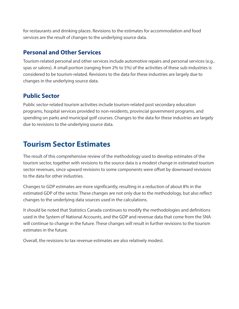for restaurants and drinking places. Revisions to the estimates for accommodation and food services are the result of changes to the underlying source data.

#### <span id="page-8-0"></span>**Personal and Other Services**

Tourism-related personal and other services include automotive repairs and personal services (e.g., spas or salons). A small portion (ranging from 2% to 5%) of the activities of these sub-industries is considered to be tourism-related. Revisions to the data for these industries are largely due to changes in the underlying source data.

#### <span id="page-8-1"></span>**Public Sector**

Public sector-related tourism activities include tourism-related post secondary education programs, hospital services provided to non-residents, provincial government programs, and spending on parks and municipal golf courses. Changes to the data for these industries are largely due to revisions to the underlying source data.

### <span id="page-8-2"></span>**Tourism Sector Estimates**

The result of this comprehensive review of the methodology used to develop estimates of the tourism sector, together with revisions to the source data is a modest change in estimated tourism sector revenues, since upward revisions to some components were offset by downward revisions to the data for other industries.

Changes to GDP estimates are more significantly, resulting in a reduction of about 8% in the estimated GDP of the sector. These changes are not only due to the methodology, but also reflect changes to the underlying data sources used in the calculations.

It should be noted that Statistics Canada continues to modify the methodologies and definitions used in the System of National Accounts, and the GDP and revenue data that come from the SNA will continue to change in the future. These changes will result in further revisions to the tourism estimates in the future.

Overall, the revisions to tax revenue estimates are also relatively modest.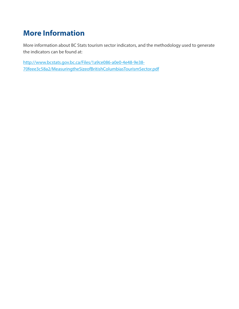## <span id="page-9-0"></span>**More Information**

More information about BC Stats tourism sector indicators, and the methodology used to generate the indicators can be found at:

[http://www.bcstats.gov.bc.ca/Files/1a9ce086-a0e0-4e48-9e38-](http://www.bcstats.gov.bc.ca/Files/1a9ce086-a0e0-4e48-9e38-70feee3c58a2/MeasuringtheSizeofBritishColumbiasTourismSector.pdf) [70feee3c58a2/MeasuringtheSizeofBritishColumbiasTourismSector.pdf](http://www.bcstats.gov.bc.ca/Files/1a9ce086-a0e0-4e48-9e38-70feee3c58a2/MeasuringtheSizeofBritishColumbiasTourismSector.pdf)